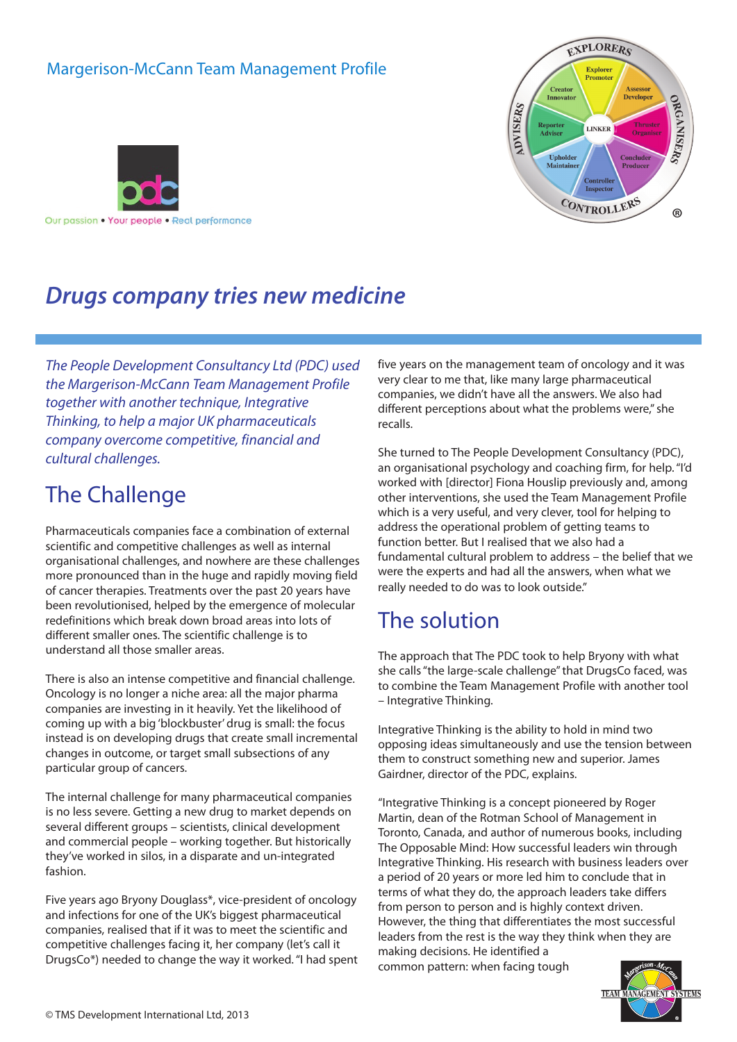#### Margerison-McCann Team Management Profile





## *Drugs company tries new medicine*

*The People Development Consultancy Ltd (PDC) used the Margerison-McCann Team Management Profile together with another technique, Integrative Thinking, to help a major UK pharmaceuticals company overcome competitive, financial and cultural challenges.*

## The Challenge

Pharmaceuticals companies face a combination of external scientific and competitive challenges as well as internal organisational challenges, and nowhere are these challenges more pronounced than in the huge and rapidly moving field of cancer therapies. Treatments over the past 20 years have been revolutionised, helped by the emergence of molecular redefinitions which break down broad areas into lots of different smaller ones. The scientific challenge is to understand all those smaller areas.

There is also an intense competitive and financial challenge. Oncology is no longer a niche area: all the major pharma companies are investing in it heavily. Yet the likelihood of coming up with a big 'blockbuster' drug is small: the focus instead is on developing drugs that create small incremental changes in outcome, or target small subsections of any particular group of cancers.

The internal challenge for many pharmaceutical companies is no less severe. Getting a new drug to market depends on several different groups – scientists, clinical development and commercial people – working together. But historically they've worked in silos, in a disparate and un-integrated fashion.

Five years ago Bryony Douglass\*, vice-president of oncology and infections for one of the UK's biggest pharmaceutical companies, realised that if it was to meet the scientific and competitive challenges facing it, her company (let's call it DrugsCo\*) needed to change the way it worked."I had spent five years on the management team of oncology and it was very clear to me that, like many large pharmaceutical companies, we didn't have all the answers. We also had different perceptions about what the problems were," she recalls.

She turned to The People Development Consultancy (PDC), an organisational psychology and coaching firm, for help."I'd worked with [director] Fiona Houslip previously and, among other interventions, she used the Team Management Profile which is a very useful, and very clever, tool for helping to address the operational problem of getting teams to function better. But I realised that we also had a fundamental cultural problem to address – the belief that we were the experts and had all the answers, when what we really needed to do was to look outside."

#### The solution

The approach that The PDC took to help Bryony with what she calls "the large-scale challenge" that DrugsCo faced, was to combine the Team Management Profile with another tool – Integrative Thinking.

Integrative Thinking is the ability to hold in mind two opposing ideas simultaneously and use the tension between them to construct something new and superior. James Gairdner, director of the PDC, explains.

"Integrative Thinking is a concept pioneered by Roger Martin, dean of the Rotman School of Management in Toronto, Canada, and author of numerous books, including The Opposable Mind: How successful leaders win through Integrative Thinking. His research with business leaders over a period of 20 years or more led him to conclude that in terms of what they do, the approach leaders take differs from person to person and is highly context driven. However, the thing that differentiates the most successful leaders from the rest is the way they think when they are making decisions. He identified a

common pattern: when facing tough